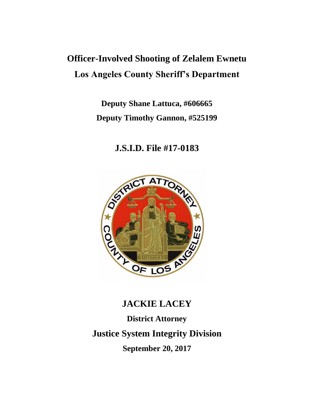# **Officer-Involved Shooting of Zelalem Ewnetu Los Angeles County Sheriff's Department**

# **Deputy Shane Lattuca, #606665 Deputy Timothy Gannon, #525199**

# **J.S.I.D. File #17-0183**



# **JACKIE LACEY**

**District Attorney Justice System Integrity Division September 20, 2017**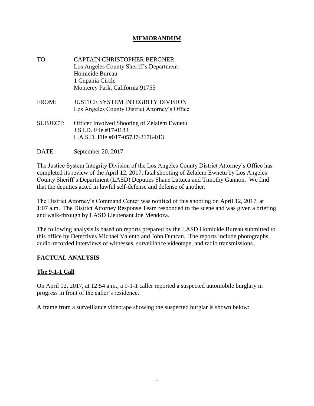#### **MEMORANDUM**

- TO: CAPTAIN CHRISTOPHER BERGNER Los Angeles County Sheriff's Department Homicide Bureau 1 Cupania Circle Monterey Park, California 91755
- FROM: JUSTICE SYSTEM INTEGRITY DIVISION Los Angeles County District Attorney's Office
- SUBJECT: Officer Involved Shooting of Zelalem Ewnetu J.S.I.D. File #17-0183 L.A.S.D. File #017-05737-2176-013
- DATE: September 20, 2017

The Justice System Integrity Division of the Los Angeles County District Attorney's Office has completed its review of the April 12, 2017, fatal shooting of Zelalem Ewnetu by Los Angeles County Sheriff's Department (LASD) Deputies Shane Lattuca and Timothy Gannon. We find that the deputies acted in lawful self-defense and defense of another.

The District Attorney's Command Center was notified of this shooting on April 12, 2017, at 1:07 a.m. The District Attorney Response Team responded to the scene and was given a briefing and walk-through by LASD Lieutenant Joe Mendoza.

The following analysis is based on reports prepared by the LASD Homicide Bureau submitted to this office by Detectives Michael Valento and John Duncan. The reports include photographs, audio-recorded interviews of witnesses, surveillance videotape, and radio transmissions.

#### **FACTUAL ANALYSIS**

#### **The 9-1-1 Call**

On April 12, 2017, at 12:54 a.m., a 9-1-1 caller reported a suspected automobile burglary in progress in front of the caller's residence.

A frame from a surveillance videotape showing the suspected burglar is shown below: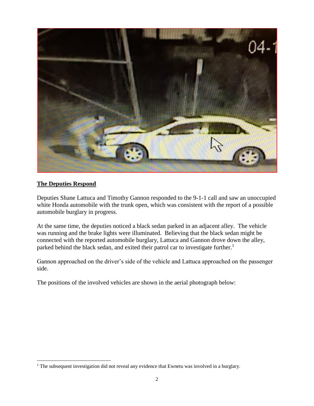

### **The Deputies Respond**

Deputies Shane Lattuca and Timothy Gannon responded to the 9-1-1 call and saw an unoccupied white Honda automobile with the trunk open, which was consistent with the report of a possible automobile burglary in progress.

At the same time, the deputies noticed a black sedan parked in an adjacent alley. The vehicle was running and the brake lights were illuminated. Believing that the black sedan might be connected with the reported automobile burglary, Lattuca and Gannon drove down the alley, parked behind the black sedan, and exited their patrol car to investigate further.<sup>1</sup>

Gannon approached on the driver's side of the vehicle and Lattuca approached on the passenger side.

The positions of the involved vehicles are shown in the aerial photograph below:

<sup>&</sup>lt;sup>1</sup> The subsequent investigation did not reveal any evidence that Ewnetu was involved in a burglary.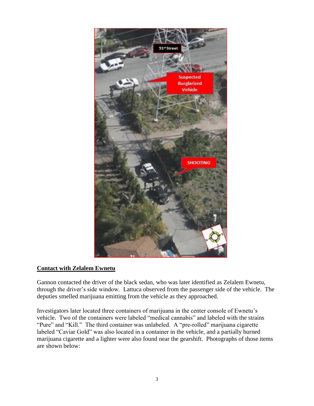

#### **Contact with Zelalem Ewnetu**

Gannon contacted the driver of the black sedan, who was later identified as Zelalem Ewnetu, through the driver's side window. Lattuca observed from the passenger side of the vehicle. The deputies smelled marijuana emitting from the vehicle as they approached.

Investigators later located three containers of marijuana in the center console of Ewnetu's vehicle. Two of the containers were labeled "medical cannabis" and labeled with the strains "Pure" and "Kill." The third container was unlabeled. A "pre-rolled" marijuana cigarette labeled "Caviar Gold" was also located in a container in the vehicle, and a partially burned marijuana cigarette and a lighter were also found near the gearshift. Photographs of those items are shown below: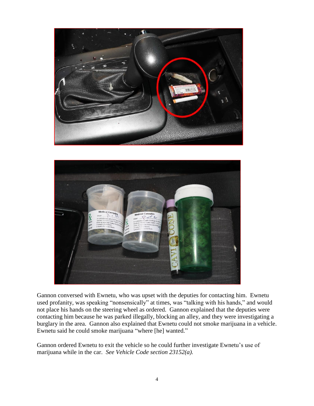



Gannon conversed with Ewnetu, who was upset with the deputies for contacting him. Ewnetu used profanity, was speaking "nonsensically" at times, was "talking with his hands," and would not place his hands on the steering wheel as ordered. Gannon explained that the deputies were contacting him because he was parked illegally, blocking an alley, and they were investigating a burglary in the area. Gannon also explained that Ewnetu could not smoke marijuana in a vehicle. Ewnetu said he could smoke marijuana "where [he] wanted."

Gannon ordered Ewnetu to exit the vehicle so he could further investigate Ewnetu's use of marijuana while in the car. *See Vehicle Code section 23152(a).*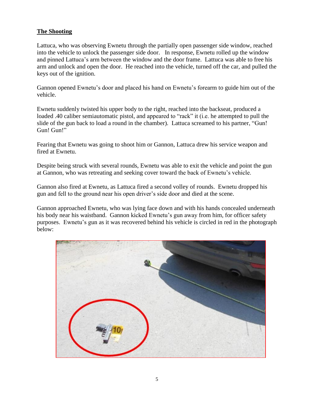#### **The Shooting**

Lattuca, who was observing Ewnetu through the partially open passenger side window, reached into the vehicle to unlock the passenger side door. In response, Ewnetu rolled up the window and pinned Lattuca's arm between the window and the door frame. Lattuca was able to free his arm and unlock and open the door. He reached into the vehicle, turned off the car, and pulled the keys out of the ignition.

Gannon opened Ewnetu's door and placed his hand on Ewnetu's forearm to guide him out of the vehicle.

Ewnetu suddenly twisted his upper body to the right, reached into the backseat, produced a loaded .40 caliber semiautomatic pistol, and appeared to "rack" it (i.e. he attempted to pull the slide of the gun back to load a round in the chamber). Lattuca screamed to his partner, "Gun! Gun! Gun!"

Fearing that Ewnetu was going to shoot him or Gannon, Lattuca drew his service weapon and fired at Ewnetu.

Despite being struck with several rounds, Ewnetu was able to exit the vehicle and point the gun at Gannon, who was retreating and seeking cover toward the back of Ewnetu's vehicle.

Gannon also fired at Ewnetu, as Lattuca fired a second volley of rounds. Ewnetu dropped his gun and fell to the ground near his open driver's side door and died at the scene.

Gannon approached Ewnetu, who was lying face down and with his hands concealed underneath his body near his waistband. Gannon kicked Ewnetu's gun away from him, for officer safety purposes. Ewnetu's gun as it was recovered behind his vehicle is circled in red in the photograph below:

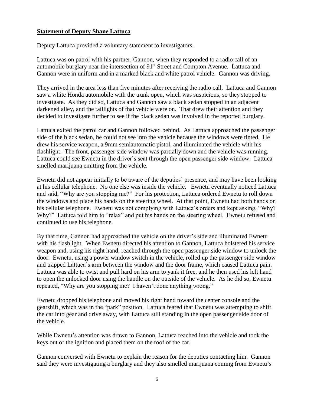#### **Statement of Deputy Shane Lattuca**

Deputy Lattuca provided a voluntary statement to investigators.

Lattuca was on patrol with his partner, Gannon, when they responded to a radio call of an automobile burglary near the intersection of 91<sup>st</sup> Street and Compton Avenue. Lattuca and Gannon were in uniform and in a marked black and white patrol vehicle. Gannon was driving.

They arrived in the area less than five minutes after receiving the radio call. Lattuca and Gannon saw a white Honda automobile with the trunk open, which was suspicious, so they stopped to investigate. As they did so, Lattuca and Gannon saw a black sedan stopped in an adjacent darkened alley, and the taillights of that vehicle were on. That drew their attention and they decided to investigate further to see if the black sedan was involved in the reported burglary.

Lattuca exited the patrol car and Gannon followed behind. As Lattuca approached the passenger side of the black sedan, he could not see into the vehicle because the windows were tinted. He drew his service weapon, a 9mm semiautomatic pistol, and illuminated the vehicle with his flashlight. The front, passenger side window was partially down and the vehicle was running. Lattuca could see Ewnetu in the driver's seat through the open passenger side window. Lattuca smelled marijuana emitting from the vehicle.

Ewnetu did not appear initially to be aware of the deputies' presence, and may have been looking at his cellular telephone. No one else was inside the vehicle. Ewnetu eventually noticed Lattuca and said, "Why are you stopping me?" For his protection, Lattuca ordered Ewnetu to roll down the windows and place his hands on the steering wheel. At that point, Ewnetu had both hands on his cellular telephone. Ewnetu was not complying with Lattuca's orders and kept asking, "Why? Why?" Lattuca told him to "relax" and put his hands on the steering wheel. Ewnetu refused and continued to use his telephone.

By that time, Gannon had approached the vehicle on the driver's side and illuminated Ewnetu with his flashlight. When Ewnetu directed his attention to Gannon, Lattuca holstered his service weapon and, using his right hand, reached through the open passenger side window to unlock the door. Ewnetu, using a power window switch in the vehicle, rolled up the passenger side window and trapped Lattuca's arm between the window and the door frame, which caused Lattuca pain. Lattuca was able to twist and pull hard on his arm to yank it free, and he then used his left hand to open the unlocked door using the handle on the outside of the vehicle. As he did so, Ewnetu repeated, "Why are you stopping me? I haven't done anything wrong."

Ewnetu dropped his telephone and moved his right hand toward the center console and the gearshift, which was in the "park" position. Lattuca feared that Ewnetu was attempting to shift the car into gear and drive away, with Lattuca still standing in the open passenger side door of the vehicle.

While Ewnetu's attention was drawn to Gannon, Lattuca reached into the vehicle and took the keys out of the ignition and placed them on the roof of the car.

Gannon conversed with Ewnetu to explain the reason for the deputies contacting him. Gannon said they were investigating a burglary and they also smelled marijuana coming from Ewnetu's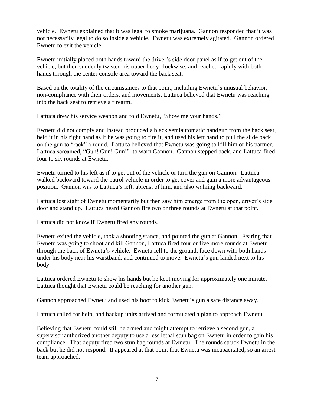vehicle. Ewnetu explained that it was legal to smoke marijuana. Gannon responded that it was not necessarily legal to do so inside a vehicle. Ewnetu was extremely agitated. Gannon ordered Ewnetu to exit the vehicle.

Ewnetu initially placed both hands toward the driver's side door panel as if to get out of the vehicle, but then suddenly twisted his upper body clockwise, and reached rapidly with both hands through the center console area toward the back seat.

Based on the totality of the circumstances to that point, including Ewnetu's unusual behavior, non-compliance with their orders, and movements, Lattuca believed that Ewnetu was reaching into the back seat to retrieve a firearm.

Lattuca drew his service weapon and told Ewnetu, "Show me your hands."

Ewnetu did not comply and instead produced a black semiautomatic handgun from the back seat, held it in his right hand as if he was going to fire it, and used his left hand to pull the slide back on the gun to "rack" a round. Lattuca believed that Ewnetu was going to kill him or his partner. Lattuca screamed, "Gun! Gun! Gun!" to warn Gannon. Gannon stepped back, and Lattuca fired four to six rounds at Ewnetu.

Ewnetu turned to his left as if to get out of the vehicle or turn the gun on Gannon. Lattuca walked backward toward the patrol vehicle in order to get cover and gain a more advantageous position. Gannon was to Lattuca's left, abreast of him, and also walking backward.

Lattuca lost sight of Ewnetu momentarily but then saw him emerge from the open, driver's side door and stand up. Lattuca heard Gannon fire two or three rounds at Ewnetu at that point.

Lattuca did not know if Ewnetu fired any rounds.

Ewnetu exited the vehicle, took a shooting stance, and pointed the gun at Gannon. Fearing that Ewnetu was going to shoot and kill Gannon, Lattuca fired four or five more rounds at Ewnetu through the back of Ewnetu's vehicle. Ewnetu fell to the ground, face down with both hands under his body near his waistband, and continued to move. Ewnetu's gun landed next to his body.

Lattuca ordered Ewnetu to show his hands but he kept moving for approximately one minute. Lattuca thought that Ewnetu could be reaching for another gun.

Gannon approached Ewnetu and used his boot to kick Ewnetu's gun a safe distance away.

Lattuca called for help, and backup units arrived and formulated a plan to approach Ewnetu.

Believing that Ewnetu could still be armed and might attempt to retrieve a second gun, a supervisor authorized another deputy to use a less lethal stun bag on Ewnetu in order to gain his compliance. That deputy fired two stun bag rounds at Ewnetu. The rounds struck Ewnetu in the back but he did not respond. It appeared at that point that Ewnetu was incapacitated, so an arrest team approached.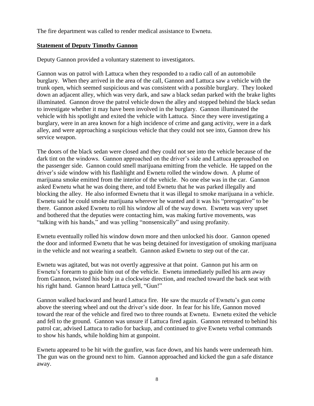The fire department was called to render medical assistance to Ewnetu.

#### **Statement of Deputy Timothy Gannon**

Deputy Gannon provided a voluntary statement to investigators.

Gannon was on patrol with Lattuca when they responded to a radio call of an automobile burglary. When they arrived in the area of the call, Gannon and Lattuca saw a vehicle with the trunk open, which seemed suspicious and was consistent with a possible burglary. They looked down an adjacent alley, which was very dark, and saw a black sedan parked with the brake lights illuminated. Gannon drove the patrol vehicle down the alley and stopped behind the black sedan to investigate whether it may have been involved in the burglary. Gannon illuminated the vehicle with his spotlight and exited the vehicle with Lattuca. Since they were investigating a burglary, were in an area known for a high incidence of crime and gang activity, were in a dark alley, and were approaching a suspicious vehicle that they could not see into, Gannon drew his service weapon.

The doors of the black sedan were closed and they could not see into the vehicle because of the dark tint on the windows. Gannon approached on the driver's side and Lattuca approached on the passenger side. Gannon could smell marijuana emitting from the vehicle. He tapped on the driver's side window with his flashlight and Ewnetu rolled the window down. A plume of marijuana smoke emitted from the interior of the vehicle. No one else was in the car. Gannon asked Ewnetu what he was doing there, and told Ewnetu that he was parked illegally and blocking the alley. He also informed Ewnetu that it was illegal to smoke marijuana in a vehicle. Ewnetu said he could smoke marijuana wherever he wanted and it was his "prerogative" to be there. Gannon asked Ewnetu to roll his window all of the way down. Ewnetu was very upset and bothered that the deputies were contacting him, was making furtive movements, was "talking with his hands," and was yelling "nonsensically" and using profanity.

Ewnetu eventually rolled his window down more and then unlocked his door. Gannon opened the door and informed Ewnetu that he was being detained for investigation of smoking marijuana in the vehicle and not wearing a seatbelt. Gannon asked Ewnetu to step out of the car.

Ewnetu was agitated, but was not overtly aggressive at that point. Gannon put his arm on Ewnetu's forearm to guide him out of the vehicle. Ewnetu immediately pulled his arm away from Gannon, twisted his body in a clockwise direction, and reached toward the back seat with his right hand. Gannon heard Lattuca yell, "Gun!"

Gannon walked backward and heard Lattuca fire. He saw the muzzle of Ewnetu's gun come above the steering wheel and out the driver's side door. In fear for his life, Gannon moved toward the rear of the vehicle and fired two to three rounds at Ewnetu. Ewnetu exited the vehicle and fell to the ground. Gannon was unsure if Lattuca fired again. Gannon retreated to behind his patrol car, advised Lattuca to radio for backup, and continued to give Ewnetu verbal commands to show his hands, while holding him at gunpoint.

Ewnetu appeared to be hit with the gunfire, was face down, and his hands were underneath him. The gun was on the ground next to him. Gannon approached and kicked the gun a safe distance away.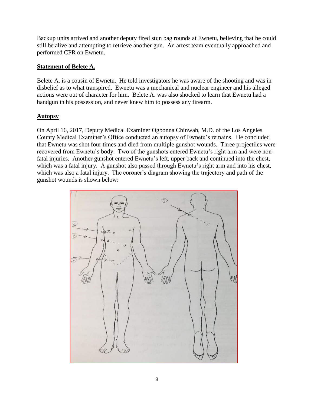Backup units arrived and another deputy fired stun bag rounds at Ewnetu, believing that he could still be alive and attempting to retrieve another gun. An arrest team eventually approached and performed CPR on Ewnetu.

#### **Statement of Belete A.**

Belete A. is a cousin of Ewnetu. He told investigators he was aware of the shooting and was in disbelief as to what transpired. Ewnetu was a mechanical and nuclear engineer and his alleged actions were out of character for him. Belete A. was also shocked to learn that Ewnetu had a handgun in his possession, and never knew him to possess any firearm.

#### **Autopsy**

On April 16, 2017, Deputy Medical Examiner Ogbonna Chinwah, M.D. of the Los Angeles County Medical Examiner's Office conducted an autopsy of Ewnetu's remains. He concluded that Ewnetu was shot four times and died from multiple gunshot wounds. Three projectiles were recovered from Ewnetu's body. Two of the gunshots entered Ewnetu's right arm and were nonfatal injuries. Another gunshot entered Ewnetu's left, upper back and continued into the chest, which was a fatal injury. A gunshot also passed through Ewnetu's right arm and into his chest, which was also a fatal injury. The coroner's diagram showing the trajectory and path of the gunshot wounds is shown below:

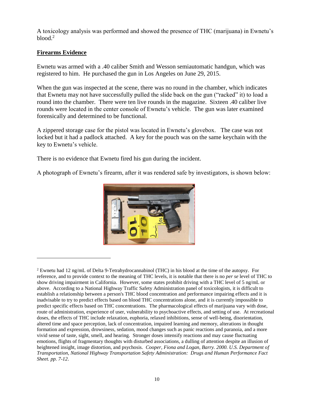A toxicology analysis was performed and showed the presence of THC (marijuana) in Ewnetu's  $b$ lood. $<sup>2</sup>$ </sup>

#### **Firearms Evidence**

Ewnetu was armed with a .40 caliber Smith and Wesson semiautomatic handgun, which was registered to him. He purchased the gun in Los Angeles on June 29, 2015.

When the gun was inspected at the scene, there was no round in the chamber, which indicates that Ewnetu may not have successfully pulled the slide back on the gun ("racked" it) to load a round into the chamber. There were ten live rounds in the magazine. Sixteen .40 caliber live rounds were located in the center console of Ewnetu's vehicle. The gun was later examined forensically and determined to be functional.

A zippered storage case for the pistol was located in Ewnetu's glovebox. The case was not locked but it had a padlock attached. A key for the pouch was on the same keychain with the key to Ewnetu's vehicle.

There is no evidence that Ewnetu fired his gun during the incident.

A photograph of Ewnetu's firearm, after it was rendered safe by investigators, is shown below:



<sup>2</sup> Ewnetu had 12 ng/mL of Delta 9-Tetrahydrocannabinol (THC) in his blood at the time of the autopsy. For reference, and to provide context to the meaning of THC levels, it is notable that there is no *per se* level of THC to show driving impairment in California. However, some states prohibit driving with a THC level of 5 ng/mL or above. According to a National Highway Traffic Safety Administration panel of toxicologists, it is difficult to establish a relationship between a person's THC blood concentration and performance impairing effects and it is inadvisable to try to predict effects based on blood THC concentrations alone, and it is currently impossible to predict specific effects based on THC concentrations. The pharmacological effects of marijuana vary with dose, route of administration, experience of user, vulnerability to psychoactive effects, and setting of use. At recreational doses, the effects of THC include relaxation, euphoria, relaxed inhibitions, sense of well-being, disorientation, altered time and space perception, lack of concentration, impaired learning and memory, alterations in thought formation and expression, drowsiness, sedation, mood changes such as panic reactions and paranoia, and a more vivid sense of taste, sight, smell, and hearing. Stronger doses intensify reactions and may cause fluctuating emotions, flights of fragmentary thoughts with disturbed associations, a dulling of attention despite an illusion of heightened insight, image distortion, and psychosis. *Cooper, Fiona and Logan, Barry. 2000. U.S. Department of Transportation, National Highway Transportation Safety Administration: Drugs and Human Performance Fact Sheet. pp. 7-12*.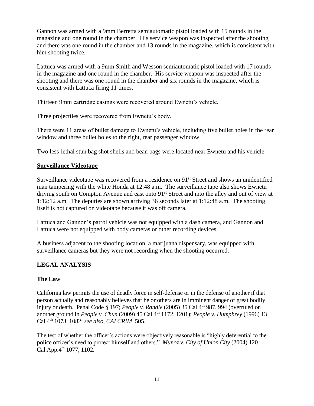Gannon was armed with a 9mm Berretta semiautomatic pistol loaded with 15 rounds in the magazine and one round in the chamber. His service weapon was inspected after the shooting and there was one round in the chamber and 13 rounds in the magazine, which is consistent with him shooting twice.

Lattuca was armed with a 9mm Smith and Wesson semiautomatic pistol loaded with 17 rounds in the magazine and one round in the chamber. His service weapon was inspected after the shooting and there was one round in the chamber and six rounds in the magazine, which is consistent with Lattuca firing 11 times.

Thirteen 9mm cartridge casings were recovered around Ewnetu's vehicle.

Three projectiles were recovered from Ewnetu's body.

There were 11 areas of bullet damage to Ewnetu's vehicle, including five bullet holes in the rear window and three bullet holes to the right, rear passenger window.

Two less-lethal stun bag shot shells and bean bags were located near Ewnetu and his vehicle.

# **Surveillance Videotape**

Surveillance videotape was recovered from a residence on 91<sup>st</sup> Street and shows an unidentified man tampering with the white Honda at 12:48 a.m. The surveillance tape also shows Ewnetu driving south on Compton Avenue and east onto 91<sup>st</sup> Street and into the alley and out of view at 1:12:12 a.m. The deputies are shown arriving 36 seconds later at 1:12:48 a.m. The shooting itself is not captured on videotape because it was off camera.

Lattuca and Gannon's patrol vehicle was not equipped with a dash camera, and Gannon and Lattuca were not equipped with body cameras or other recording devices.

A business adjacent to the shooting location, a marijuana dispensary, was equipped with surveillance cameras but they were not recording when the shooting occurred.

# **LEGAL ANALYSIS**

# **The Law**

California law permits the use of deadly force in self-defense or in the defense of another if that person actually and reasonably believes that he or others are in imminent danger of great bodily injury or death. Penal Code § 197; *People v. Randle* (2005) 35 Cal.4<sup>th</sup> 987, 994 (overruled on another ground in *People v. Chun* (2009) 45 Cal.4th 1172, 1201); *People v. Humphrey* (1996) 13 Cal.4th 1073, 1082; *see also, CALCRIM* 505.

The test of whether the officer's actions were objectively reasonable is "highly deferential to the police officer's need to protect himself and others." *Munoz v. City of Union City* (2004) 120  $Cal.$ App. $4<sup>th</sup>$  1077, 1102.